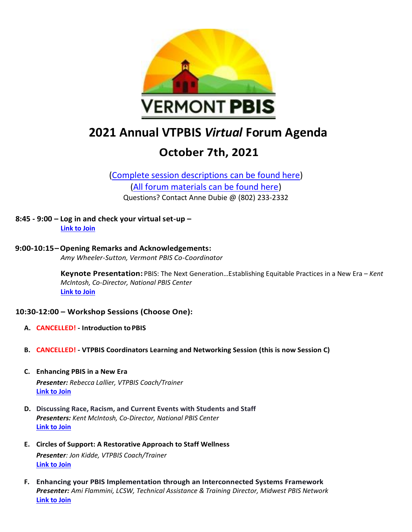

# **2021 Annual VTPBIS** *Virtual* **Forum Agenda**

## **October 7th, 2021**

[\(Complete session descriptions](https://www.pbisvermont.org/2021-annual-vtpbis-virtual-forum/) can be found here) [\(All forum materials can be found here\)](https://www.pbisvermont.org/training-resources/vtpbis-annual-forum/) Questions? Contact Anne Dubie @ (802) 233-2332

**8:45 - 9:00 – Log in and check your virtual set-up – [Link to Join](https://us02web.zoom.us/j/89304264164?pwd=OUREU1JQeFZnYklXV3hvSkJKUGxwUT09)**

**9:00-10:15–Opening Remarks and Acknowledgements:**  *Amy Wheeler-Sutton, Vermont PBIS Co-Coordinator*

> **Keynote Presentation:** PBIS: The Next Generation…Establishing Equitable Practices in a New Era – *Kent McIntosh, Co-Director, National PBIS Center* **[Link to Join](https://us02web.zoom.us/j/89304264164?pwd=OUREU1JQeFZnYklXV3hvSkJKUGxwUT09)**

#### **10:30-12:00 – Workshop Sessions (Choose One):**

- **A. CANCELLED! - Introduction toPBIS**
- **B. CANCELLED! - VTPBIS Coordinators Learning and Networking Session (this is now Session C)**
- **C. Enhancing PBIS in a New Era** *Presenter: Rebecca Lallier, VTPBIS Coach/Trainer* **[Link to Join](https://us02web.zoom.us/j/81126945645?pwd=YXlEYVU1TkpjTGVrdkxNNjRDSlBVQT09)**
- **D. Discussing Race, Racism, and Current Events with Students and Staff** *Presenters: Kent McIntosh, Co-Director, National PBIS Center* **[Link to Join](https://us02web.zoom.us/j/81307789621?pwd=Q0phQW95WTRaVzhSQzRQSUlaL2Evdz09)**
- **E. Circles of Support: A Restorative Approach to Staff Wellness** *Presenter: Jon Kidde, VTPBIS Coach/Trainer* **[Link to Join](https://us02web.zoom.us/j/86962973563?pwd=U3pnWHkva0pHMVNIVXlqd1V6TzBGZz09)**
- **F. Enhancing your PBIS Implementation through an Interconnected Systems Framework** *Presenter: Ami Flammini, LCSW, Technical Assistance & Training Director, Midwest PBIS Network* **[Link to Join](https://us02web.zoom.us/j/85150097631?pwd=L1BLR1hVMTFoZW1qcmhFdzhVU0IzZz09)**